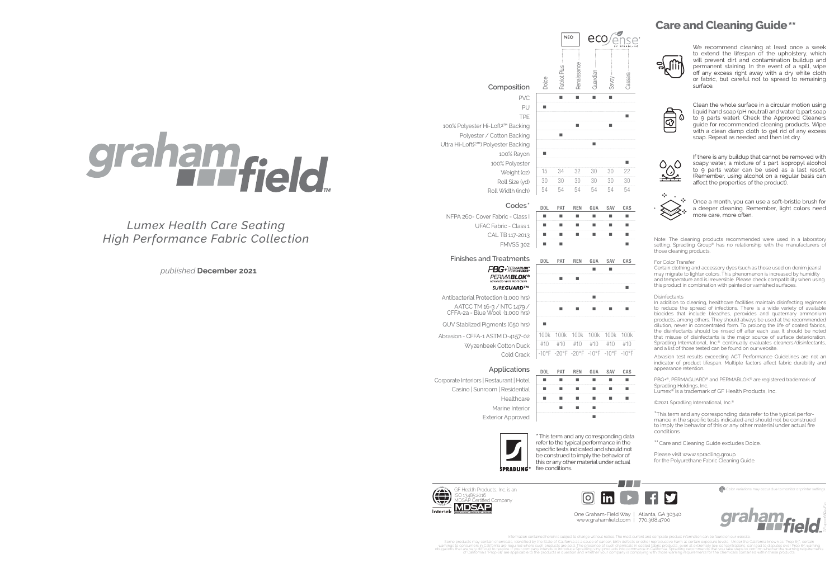# graham<sub>field</sub>

*Lumex Health Care Seating High Performance Fabric Collection*

> [\\*This term and any corresponding data](https://spradling.group/en-us)  refer to the typical performance in the specific tests indicated and should not be construed to imply the behavior of this or any other material under actual **SPRADLING**<sup>®</sup> fire conditions.

GF Health Products, Inc. is an palette Color variations may occur due to monitor or printer settings. The monitor or printer settings of  $\bullet$ ISO 13485:2016 MDSAP Certified Company MDSJ



Information contained herein is subject to change without notice. The most current and complete product information can be found on our website. Some products may contain chemicals, identified by the State of California as a cause of cancer, birth defects or other reproductive harm at certain exposure levels. Under the State of Disputes over Prop 65, certain enviro

obligations that of the intervent on the property internal to introduce Sprading vinyl products introduce Sprading on the intervent of california. Sprading requirements that you company of California is the step to comply



### **Care and Cleaning Guide\*\***



*published* **December 2021**

One Graham-Field Way | Atlanta, GA 30340 www.grahamfield.com | 770.368.4700

Note: The cleaning products recommended were used in a laboratory setting. Spradling Group® has no relationship with the manufacturers of those cleaning products.

#### For Color Transfer

Certain clothing and accessory dyes (such as those used on denim jeans) may migrate to lighter colors. This phenomenon is increased by humidity and temperature and is irreversible. Please check compatibility when using this product in combination with painted or varnished surfaces.

#### **Disinfectants**

In addition to cleaning, healthcare facilities maintain disinfecting regimens to reduce the spread of infections. There is a wide variety of available biocides that include bleaches, peroxides and quaternary ammonium products, among others. They should always be used at the recommended dilution, never in concentrated form. To prolong the life of coated fabrics, the disinfectants should be rinsed off after each use. It should be noted that misuse of disinfectants is the major source of surface deterioration. Spradling International, Inc.<sup>®</sup> continually evaluates cleaners/disinfectants, and a list of those tested can be found on our website.

Corporate Interiors | Restaurant | Hotel Casino | Sunroom | Residential | **| | | | | | | | | | | | | |** Healthcare  $\begin{array}{ccc} \blacksquare & \blacksquare & \blacksquare & \blacksquare & \blacksquare & \blacksquare & \blacksquare & \blacksquare \end{array}$ Marine Interior | **I I** Exterior Approved | **Exterior Approved | Particular Providence** 



Abrasion test results exceeding ACT Performance Guidelines are not an indicator of product lifespan. Multiple factors affect fabric durability and appearance retention.

PBG+®, PERMAGUARD® and PERMABLOK® are registered trademark of Spradling Holdings, Inc.

Lumex® is a trademark of GF Health Products, Inc.

©2021 Spradling International, Inc.®

\*This term and any corresponding data refer to the typical performance in the specific tests indicated and should not be construed to imply the behavior of this or any other material under actual fire conditions

\*\* Care and Cleaning Guide excludes Dolce.

Please visi[t](http://spradlingvinyl.com/resource-library) [www.spradling](https://spradling.group/en-us)**.**group for the Polyurethane Fabric Cleaning Guide.



We recommend cleaning at least once a week to extend the lifespan of the upholstery, which will prevent dirt and contamination buildup and permanent staining. In the event of a spill, wipe off any excess right away with a dry white cloth or fabric, but careful not to spread to remaining surface.



Clean the whole surface in a circular motion using liquid hand soap (pH neutral) and water (1 part soap to 9 parts water). Check the Approved Cleaners guide for recommended cleaning products. Wipe with a clean damp cloth to get rid of any excess soap. Repeat as needed and then let dry.



If there is any buildup that cannot be removed with soapy water, a mixture of 1 part isopropyl alcohol to 9 parts water can be used as a last resort. (Remember, using alcohol on a regular basis can affect the properties of the product).



Once a month, you can use a soft-bristle brush for a deeper cleaning. Remember, light colors need more care, more often.

#### **Composition**

[Dolce](https://spradling.group/en-us/products/dolce-2)

Pa

**NEO** 

100% Polyester Hi-Loft<sup>2™</sup> Backing | ■ ■ ■ ■ ■ Polyester / Cotton Backing | Ultra Hi-Loft(2™) Polyester Backing 100% Rayon | ■



 $\vec{\sigma}$ 

eco

ನ

 $CALTB 117-2013$   $\blacksquare$   $\blacksquare$   $\blacksquare$   $\blacksquare$   $\blacksquare$   $\blacksquare$ FMVSS 302 PBG+PERMABLOK\*



UFAC Fabric - Class 1

#### **Finishes and Treatments DOL** PAT REN GUA SAV CAS

# **PERMABLOK®**

Antibacterial Protection (1,000 hrs) AATCC TM 16-3 / NTC 1479 /

QUV Stabilzed Pigments (650 hrs)

#### Applications <sub>not pat REN GUA SAV CAS</sub>